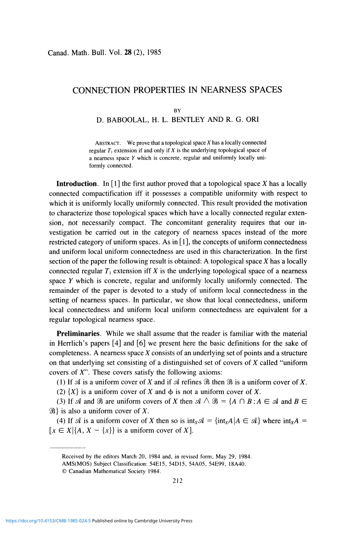# CONNECTION PROPERTIES IN NEARNESS SPACES

#### **BY**

### D. BABOOLAL, H. L. BENTLEY AND R. G. ORI

ABSTRACT. We prove that a topological space  $X$  has a locally connected regular  $T_1$  extension if and only if  $X$  is the underlying topological space of a nearness space *Y* which is concrete, regular and uniformly locally uniformly connected.

**Introduction.** In  $\lceil 1 \rceil$  the first author proved that a topological space X has a locally connected compactification iff it possesses a compatible uniformity with respect to which it is uniformly locally uniformly connected. This result provided the motivation to characterize those topological spaces which have a locally connected regular extension, not necessarily compact. The concomitant generality requires that our investigation be carried out in the category of nearness spaces instead of the more restricted category of uniform spaces. As in  $[1]$ , the concepts of uniform connectedness and uniform local uniform connectedness are used in this characterization. In the first section of the paper the following result is obtained: A topological space  $X$  has a locally connected regular  $T_1$  extension iff *X* is the underlying topological space of a nearness space *Y* which is concrete, regular and uniformly locally uniformly connected. The remainder of the paper is devoted to a study of uniform local connectedness in the setting of nearness spaces. In particular, we show that local connectedness, uniform local connectedness and uniform local uniform connectedness are equivalent for a regular topological nearness space.

**Preliminaries.** While we shall assume that the reader is familiar with the material in Herrlich's papers [4] and [6] we present here the basic definitions for the sake of completeness. A nearness space *X* consists of an underlying set of points and a structure on that underlying set consisting of a distinguished set of covers of *X* called "uniform covers of  $X$ ". These covers satisfy the following axioms:

(1) If  $\mathcal A$  is a uniform cover of X and if  $\mathcal A$  refines  $\mathcal B$  then  $\mathcal B$  is a uniform cover of X.

(2)  ${X}$  is a uniform cover of *X* and  $\phi$  is not a uniform cover of *X*.

(3) If  $\mathcal A$  and  $\mathcal B$  are uniform covers of X then  $\mathcal A \wedge \mathcal B = \{A \cap B : A \in \mathcal A \text{ and } B \in$  $\mathcal{B}$  is also a uniform cover of X.

(4) If *si* is a uniform cover of *X* then so is *intxsl* = {intxA|A E *si}* where *intxA =*   $[x \in X | \{A, X - \{x\}\}\)$  is a uniform cover of X].

Received by the editors March 20, 1984 and, in revised form, May 29, 1984.

AMS(MOS) Subject Classification: 54E15, 54D15, 54A05, 54E99, 18A40.

<sup>©</sup> Canadian Mathematical Society 1984.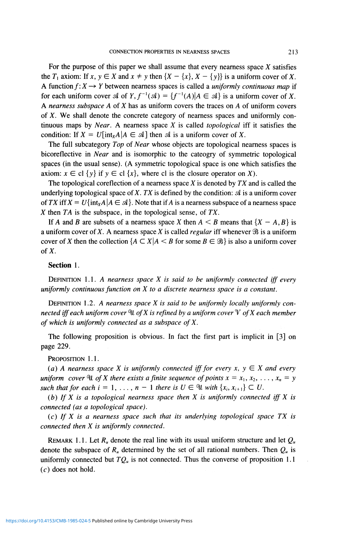For the purpose of this paper we shall assume that every nearness space *X* satisfies the  $T_1$  axiom: If  $x, y \in X$  and  $x \neq y$  then  $\{X - \{x\}, X - \{y\}\}\)$  is a uniform cover of X. A function  $f: X \rightarrow Y$  between nearness spaces is called a *uniformly continuous map* if for each uniform cover  $\mathcal A$  of  $Y, f^{-1}(\mathcal A) = \{f^{-1}(A)| A \in \mathcal A\}$  is a uniform cover of X. *A nearness subspace A* of *X* has as uniform covers the traces on *A* of uniform covers of *X.* We shall denote the concrete category of nearness spaces and uniformly continuous maps by *Near.* A nearness space *X* is called *topological* iff it satisfies the condition: If  $X = U$ [int<sub>*x*</sub>*A*| $A \in \mathcal{A}$ ] then  $\mathcal{A}$  is a uniform cover of X.

The full subcategory *Top* of *Near* whose objects are topological nearness spaces is bicoreflective in *Near* and is isomorphic to the cateogry of symmetric topological spaces (in the usual sense). (A symmetric topological space is one which satisfies the axiom:  $x \in cl$  {y} if  $y \in cl$  {x}, where cl is the closure operator on X).

The topological coreflection of a nearness space *X* is denoted by *TX* and is called the underlying topological space of X. TX is defined by the condition:  $\mathcal A$  is a uniform cover of *TX* iff  $X = U\{\text{int}_X A | A \in \mathcal{A}\}\$ . Note that if A is a nearness subspace of a nearness space *X* then *TA* is the subspace, in the topological sense, of *TX.* 

If A and B are subsets of a nearness space X then  $A \leq B$  means that  $\{X - A, B\}$  is a uniform cover of X. A nearness space X is called *regular* iff whenever  $\Re$  is a uniform cover of *X* then the collection  ${A \subset X | A \leq B \text{ for some } B \in \mathcal{B}}$  is also a uniform cover of  $X$ .

## Section 1.

DEFINITION 1.1. *A nearness space X is said to be uniformly connected iff every uniformly continuous function on X to a discrete nearness space is a constant.* 

DEFINITION *1.2. A nearness space X is said to be uniformly locally uniformly connected iff each uniform cover* °U *ofX is refined by a uniform cover Y ofX each member of which is uniformly connected as a subspace ofX.* 

The following proposition is obvious. In fact the first part is implicit in [3] on page 229.

PROPOSITION 1.1.

(a) A nearness space X is uniformly connected iff for every x,  $y \in X$  and every *uniform cover* In of X there exists a finite sequence of points  $x = x_1, x_2, \ldots, x_n = y$ *such that for each i* = 1, ...,  $n - 1$  *there is*  $U \in \mathcal{U}$  *with*  $\{x_i, x_{i+1}\} \subset U$ .

*(b) If X is a topological nearness space then X is uniformly connected iff X is connected (as a topological space).* 

(c) *If X is a nearness space such that its underlying topological space TX is connected then X is uniformly connected.* 

REMARK 1.1. Let  $R_u$  denote the real line with its usual uniform structure and let  $Q_u$ denote the subspace of  $R_u$  determined by the set of all rational numbers. Then  $Q_u$  is uniformly connected but  $TQ<sub>u</sub>$  is not connected. Thus the converse of proposition 1.1  $(c)$  does not hold.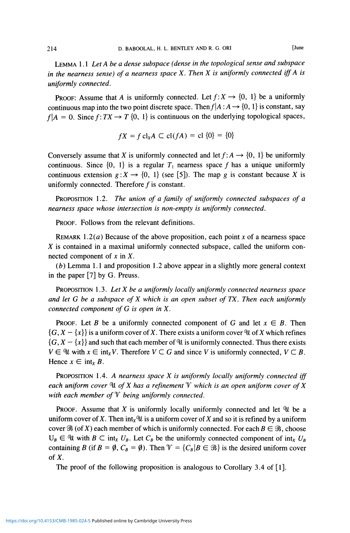LEMMA 1.1 *Let Abe a dense subspace (dense in the topological sense and subspace in the nearness sense) of a nearness space X. Then X is uniformly connected iff A is uniformly connected.* 

PROOF: Assume that *A* is uniformly connected. Let  $f: X \to \{0, 1\}$  be a uniformly continuous map into the two point discrete space. Then  $f | A : A \rightarrow \{0, 1\}$  is constant, say  $f|A = 0$ . Since  $f: TX \to T$  {0, 1} is continuous on the underlying topological spaces,

$$
fX = f \operatorname{cl}_X A \subset \operatorname{cl}(fA) = \operatorname{cl} \{0\} = \{0\}
$$

Conversely assume that X is uniformly connected and let  $f: A \rightarrow \{0, 1\}$  be uniformly continuous. Since  $\{0, 1\}$  is a regular  $T_1$  nearness space f has a unique uniformly continuous extension  $g: X \to \{0, 1\}$  (see [5]). The map g is constant because X is uniformly connected. Therefore  $f$  is constant.

PROPOSITION 1.2. *The union of a family of uniformly connected subspaces of a nearness space whose intersection is non-empty is uniformly connected.* 

PROOF. Follows from the relevant definitions.

REMARK 1.2(a) Because of the above proposition, each point  $x$  of a nearness space *X* is contained in a maximal uniformly connected subspace, called the uniform connected component of  $x$  in  $X$ .

*(b)* Lemma 1.1 and proposition 1.2 above appear in a slightly more general context in the paper [7] by G. Preuss.

PROPOSITION 1.3. *LetX be a uniformly locally uniformly connected nearness space and let G be a subspace of X which is an open subset of TX. Then each uniformly connected component of G is open in X.* 

**PROOF.** Let B be a uniformly connected component of G and let  $x \in B$ . Then  $\{G, X - \{x\}\}\$ is a uniform cover of X. There exists a uniform cover U of X which refines  $\{G, X - \{x\}\}\$ and such that each member of U is uniformly connected. Thus there exists  $V \in \mathcal{U}$  with  $x \in \text{int}_X V$ . Therefore  $V \subset G$  and since V is uniformly connected,  $V \subset B$ . Hence  $x \in \text{int}_X B$ .

PROPOSITION 1.4. A *nearness space X is uniformly locally uniformly connected iff each uniform cover* °lt *ofX has a refinement* T *which is an open uniform cover ofX with each member of Y being uniformly connected.* 

**PROOF.** Assume that X is uniformly locally uniformly connected and let  $\mathcal{U}$  be a uniform cover of X. Then  $int_X \mathcal{U}$  is a uniform cover of X and so it is refined by a uniform cover  $\mathcal{B}$  (of *X*) each member of which is uniformly connected. For each  $B \in \mathcal{B}$ , choose  $U_B \in \mathcal{U}$  with  $B \subset \text{int}_X U_B$ . Let  $C_B$  be the uniformly connected component of  $\text{int}_X U_B$ containing *B* (if  $B = \emptyset$ ,  $C_B = \emptyset$ ). Then  $\mathcal{V} = \{C_B | B \in \mathcal{B}\}\$ is the desired uniform cover of  $X$ .

The proof of the following proposition is analogous to Corollary 3.4 of [1].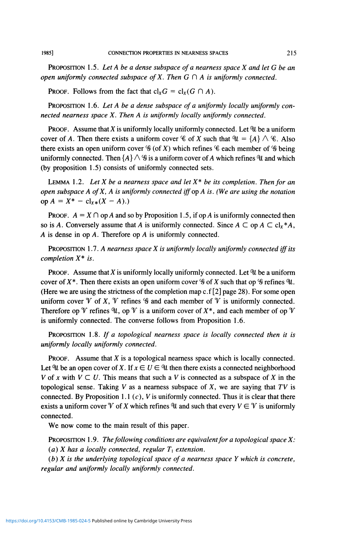PROPOSITION 1.5. *Let Abe a dense subspace of a nearness space X and let G be an open uniformly connected subspace of X. Then G*  $\cap$  *A is uniformly connected.* 

**PROOF.** Follows from the fact that  $cl_xG = cl_x(G \cap A)$ .

PROPOSITION 1.6. *Let A be a dense subspace of a uniformly locally uniformly connected nearness space X. Then A is uniformly locally uniformly connected.* 

**PROOF.** Assume that X is uniformly locally uniformly connected. Let  $\mathcal{U}$  be a uniform cover of A. Then there exists a uniform cover  $\mathscr{C}$  of X such that  $\mathscr{U} = \{A\} \wedge \mathscr{C}$ . Also there exists an open uniform cover  $\mathcal{G}$  (of X) which refines  $\mathcal{G}$  each member of  $\mathcal{G}$  being uniformly connected. Then  $\{A\} \wedge \mathcal{G}$  is a uniform cover of A which refines  $\mathcal{U}$  and which (by proposition 1.5) consists of uniformly connected sets.

LEMMA 1.2. *Let X be a nearness space and let X\* be its completion. Then for an open subspace A ofX, A is uniformly connected iff op A is. (We are using the notation*  op  $A = X^* - \text{cl}_{X*}(X - A)$ .)

**PROOF.**  $A = X \cap \text{op } A$  and so by Proposition 1.5, if  $\text{op } A$  is uniformly connected then so is A. Conversely assume that A is uniformly connected. Since  $A \subset \text{op } A \subset \text{cl}_x^*A$ , *A* is dense in op A. Therefore op A is uniformly connected.

PROPOSITION 1.7. A *nearness space X is uniformly locally uniformly connected iff its completion* X\* *is.* 

PROOF. Assume that *X* is uniformly locally uniformly connected. Let *°\l* be a uniform cover of  $X^*$ . Then there exists an open uniform cover  $\mathscr G$  of  $X$  such that op  $\mathscr G$  refines  $\mathscr U$ . (Here we are using the strictness of the completion map  $c.f[2]$  page 28). For some open uniform cover  $\mathcal V$  of X,  $\mathcal V$  refines  $\mathcal G$  and each member of  $\mathcal V$  is uniformly connected. Therefore op  $\mathcal V$  refines  $\mathcal U$ , op  $\mathcal V$  is a uniform cover of  $X^*$ , and each member of  $\mathcal V$ is uniformly connected. The converse follows from Proposition 1.6.

PROPOSITION 1.8. *If a topological nearness space is locally connected then it is uniformly locally uniformly connected.* 

PROOF. Assume that *X* is a topological nearness space which is locally connected. Let  $\mathcal{U}$  be an open cover of X. If  $x \in U \in \mathcal{U}$  then there exists a connected neighborhood *V* of *x* with  $V \subset U$ . This means that such a *V* is connected as a subspace of *X* in the topological sense. Taking *V* as a nearness subspace of *X,* we are saying that *TV* is connected. By Proposition 1.1  $(c)$ , *V* is uniformly connected. Thus it is clear that there exists a uniform cover  $\mathcal V$  of X which refines  $\mathcal U$  and such that every  $V \in \mathcal V$  is uniformly connected.

We now come to the main result of this paper.

PROPOSITION 1.9. *The following conditions are equivalent for a topological space X:*  (a) *X* has a locally connected, regular  $T_1$  extension.

*(b) X is the underlying topological space of a nearness space Y which is concrete, regular and uniformly locally uniformly connected.*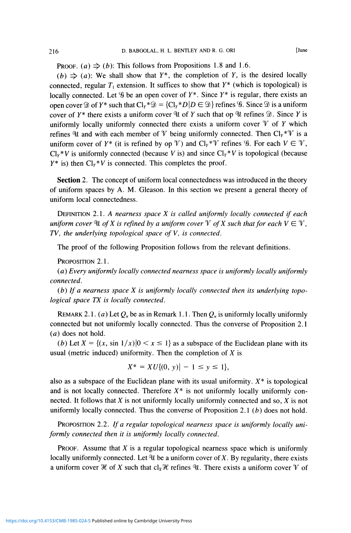**PROOF.** (a)  $\Rightarrow$  (b): This follows from Propositions 1.8 and 1.6.

 $(b) \Rightarrow (a)$ : We shall show that  $Y^*$ , the completion of Y, is the desired locally connected, regular  $T_1$  extension. It suffices to show that  $Y^*$  (which is topological) is locally connected. Let  $\mathscr G$  be an open cover of  $Y^*$ . Since  $Y^*$  is regular, there exists an open cover  $\mathcal D$  of  $Y^*$  such that  $\mathbb C V^* \mathcal D = \{ \mathbb C V^* D | D \in \mathcal D \}$  refines  $\mathcal G$ . Since  $\mathcal D$  is a uniform cover of  $Y^*$  there exists a uniform cover  $\mathcal U$  of  $Y$  such that op  $\mathcal U$  refines  $\mathcal D$ . Since  $Y$  is uniformly locally uniformly connected there exists a uniform cover  $\mathcal V$  of  $Y$  which refines  $\mathcal{U}$  and with each member of  $\mathcal{V}$  being uniformly connected. Then  $\text{Cl}_{Y}^{*}\mathcal{V}$  is a uniform cover of  $Y^*$  (it is refined by op  $\mathcal V$ ) and  $\mathrm{Cl}_Y^* \mathcal V$  refines  $\mathcal G$ . For each  $V \in \mathcal V$ ,  $Cl_Y^*V$  is uniformly connected (because V is) and since  $Cl_Y^*V$  is topological (because  $Y^*$  is) then  $\text{Cl}_Y^* V$  is connected. This completes the proof.

**Section** 2. The concept of uniform local connectedness was introduced in the theory of uniform spaces by A. M. Gleason. In this section we present a general theory of uniform local connectedness.

DEFINITION 2.1. A *nearness space X is called uniformly locally connected if each uniform cover*  $\mathbb{U}$  of X is refined by a uniform cover  $\mathbb{V}$  of X such that for each  $V \in \mathbb{V}$ , *TV<sup>t</sup> the underlying topological space of* V, *is connected.* 

The proof of the following Proposition follows from the relevant definitions.

PROPOSITION 2.1.

*(a) Every uniformly locally connected nearness space is uniformly locally uniformly connected.* 

*(b) If a nearness space X is uniformly locally connected then its underlying topological space TX is locally connected.* 

REMARK 2.1. *(a)* Let  $Q_u$  be as in Remark 1.1. Then  $Q_u$  is uniformly locally uniformly connected but not uniformly locally connected. Thus the converse of Proposition 2.1 *(a)* does not hold.

*(b)* Let  $X = \{(x, \sin 1/x) | 0 < x \le 1\}$  as a subspace of the Euclidean plane with its usual (metric induced) uniformity. Then the completion of *X* is

$$
X^* = XU\{(0, y)| - 1 \le y \le 1\},\
$$

also as a subspace of the Euclidean plane with its usual uniformity.  $X^*$  is topological and is not locally connected. Therefore  $X^*$  is not uniformly locally uniformly connected. It follows that *X* is not uniformly locally uniformly connected and so, *X* is not uniformly locally connected. Thus the converse of Proposition 2.1 *(b)* does not hold.

PROPOSITION 2.2. *If a regular topological nearness space is uniformly locally uniformly connected then it is uniformly locally connected.* 

PROOF. Assume that *X* is a regular topological nearness space which is uniformly locally uniformly connected. Let  $\mathcal{U}$  be a uniform cover of X. By regularity, there exists a uniform cover H of X such that  $cl_xH$  refines U. There exists a uniform cover V of